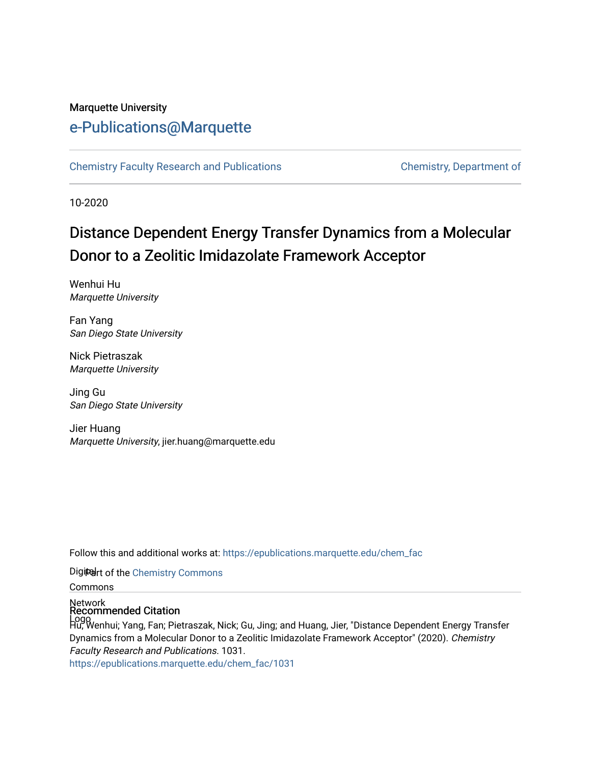## Marquette University

## [e-Publications@Marquette](https://epublications.marquette.edu/)

[Chemistry Faculty Research and Publications](https://epublications.marquette.edu/chem_fac) **Chemistry, Department of** 

10-2020

# Distance Dependent Energy Transfer Dynamics from a Molecular Donor to a Zeolitic Imidazolate Framework Acceptor

Wenhui Hu Marquette University

Fan Yang San Diego State University

Nick Pietraszak Marquette University

Jing Gu San Diego State University

Jier Huang Marquette University, jier.huang@marquette.edu

Follow this and additional works at: [https://epublications.marquette.edu/chem\\_fac](https://epublications.marquette.edu/chem_fac?utm_source=epublications.marquette.edu%2Fchem_fac%2F1031&utm_medium=PDF&utm_campaign=PDFCoverPages) 

Digiter of the Chemistry Commons

Commons

## Network Recommended Citation

Logo Hu, Wenhui; Yang, Fan; Pietraszak, Nick; Gu, Jing; and Huang, Jier, "Distance Dependent Energy Transfer Dynamics from a Molecular Donor to a Zeolitic Imidazolate Framework Acceptor" (2020). Chemistry Faculty Research and Publications. 1031.

[https://epublications.marquette.edu/chem\\_fac/1031](https://epublications.marquette.edu/chem_fac/1031?utm_source=epublications.marquette.edu%2Fchem_fac%2F1031&utm_medium=PDF&utm_campaign=PDFCoverPages)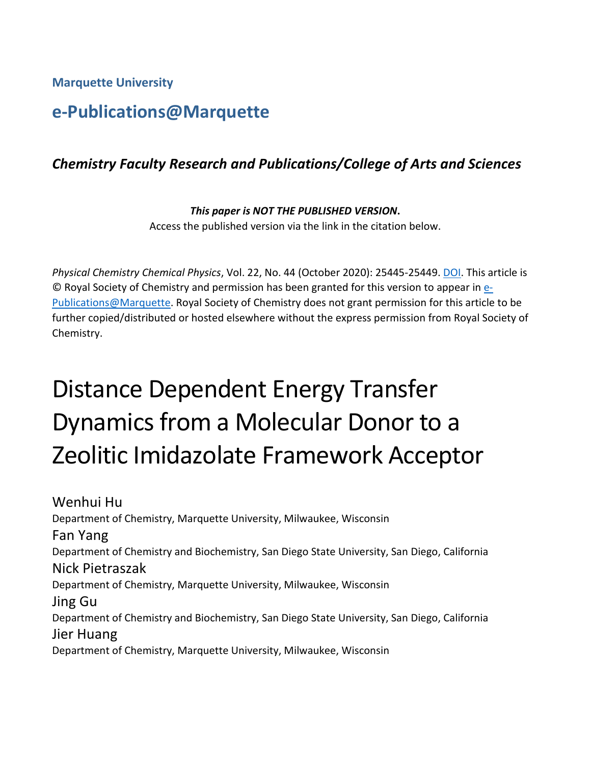**Marquette University**

## **e-Publications@Marquette**

#### *Chemistry Faculty Research and Publications/College of Arts and Sciences*

*This paper is NOT THE PUBLISHED VERSION***.**  Access the published version via the link in the citation below.

*Physical Chemistry Chemical Physics*, Vol. 22, No. 44 (October 2020): 25445-25449. [DOI.](https://doi.org/10.1039/D0CP03995K) This article is © Royal Society of Chemistry and permission has been granted for this version to appear in [e-](http://epublications.marquette.edu/)[Publications@Marquette.](http://epublications.marquette.edu/) Royal Society of Chemistry does not grant permission for this article to be further copied/distributed or hosted elsewhere without the express permission from Royal Society of Chemistry.

# Distance Dependent Energy Transfer Dynamics from a Molecular Donor to a Zeolitic Imidazolate Framework Acceptor

Wenhui Hu Department of Chemistry, Marquette University, Milwaukee, Wisconsin Fan Yang Department of Chemistry and Biochemistry, San Diego State University, San Diego, California Nick Pietraszak Department of Chemistry, Marquette University, Milwaukee, Wisconsin Jing Gu Department of Chemistry and Biochemistry, San Diego State University, San Diego, California Jier Huang Department of Chemistry, Marquette University, Milwaukee, Wisconsin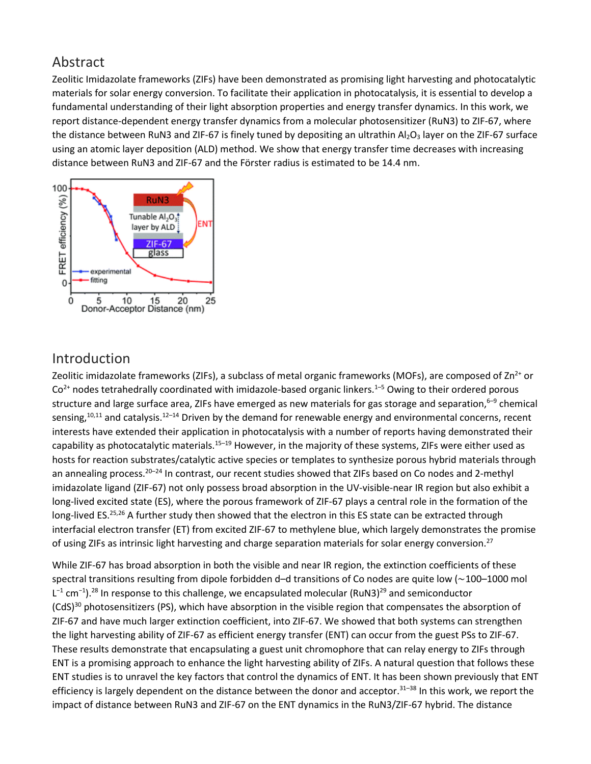#### Abstract

Zeolitic Imidazolate frameworks (ZIFs) have been demonstrated as promising light harvesting and photocatalytic materials for solar energy conversion. To facilitate their application in photocatalysis, it is essential to develop a fundamental understanding of their light absorption properties and energy transfer dynamics. In this work, we report distance-dependent energy transfer dynamics from a molecular photosensitizer (RuN3) to ZIF-67, where the distance between RuN3 and ZIF-67 is finely tuned by depositing an ultrathin  $Al_2O_3$  layer on the ZIF-67 surface using an atomic layer deposition (ALD) method. We show that energy transfer time decreases with increasing distance between RuN3 and ZIF-67 and the Förster radius is estimated to be 14.4 nm.



#### Introduction

Zeolitic imidazolate frameworks (ZIFs), a subclass of metal organic frameworks (MOFs), are composed of  $Zn^{2+}$  or  $Co<sup>2+</sup>$  nodes tetrahedrally coordinated with imidazole-based organic linkers.<sup>1–5</sup> Owing to their ordered porous structure and large surface area, ZIFs have emerged as new materials for gas storage and separation,  $6-9$  chemical sensing, $10,11$  and catalysis.<sup>12–14</sup> Driven by the demand for renewable energy and environmental concerns, recent interests have extended their application in photocatalysis with a number of reports having demonstrated their capability as photocatalytic materials.<sup>15-19</sup> However, in the majority of these systems, ZIFs were either used as hosts for reaction substrates/catalytic active species or templates to synthesize porous hybrid materials through an annealing process.<sup>20-24</sup> In contrast, our recent studies showed that ZIFs based on Co nodes and 2-methyl imidazolate ligand (ZIF-67) not only possess broad absorption in the UV-visible-near IR region but also exhibit a long-lived excited state (ES), where the porous framework of ZIF-67 plays a central role in the formation of the long-lived ES.<sup>25,26</sup> A further study then showed that the electron in this ES state can be extracted through interfacial electron transfer (ET) from excited ZIF-67 to methylene blue, which largely demonstrates the promise of using ZIFs as intrinsic light harvesting and charge separation materials for solar energy conversion.<sup>27</sup>

While ZIF-67 has broad absorption in both the visible and near IR region, the extinction coefficients of these spectral transitions resulting from dipole forbidden d–d transitions of Co nodes are quite low (∼100–1000 mol L<sup>-1</sup> cm<sup>-1</sup>).<sup>28</sup> In response to this challenge, we encapsulated molecular (RuN3)<sup>29</sup> and semiconductor  $(CdS)^{30}$  photosensitizers (PS), which have absorption in the visible region that compensates the absorption of ZIF-67 and have much larger extinction coefficient, into ZIF-67. We showed that both systems can strengthen the light harvesting ability of ZIF-67 as efficient energy transfer (ENT) can occur from the guest PSs to ZIF-67. These results demonstrate that encapsulating a guest unit chromophore that can relay energy to ZIFs through ENT is a promising approach to enhance the light harvesting ability of ZIFs. A natural question that follows these ENT studies is to unravel the key factors that control the dynamics of ENT. It has been shown previously that ENT efficiency is largely dependent on the distance between the donor and acceptor.<sup>31–38</sup> In this work, we report the impact of distance between RuN3 and ZIF-67 on the ENT dynamics in the RuN3/ZIF-67 hybrid. The distance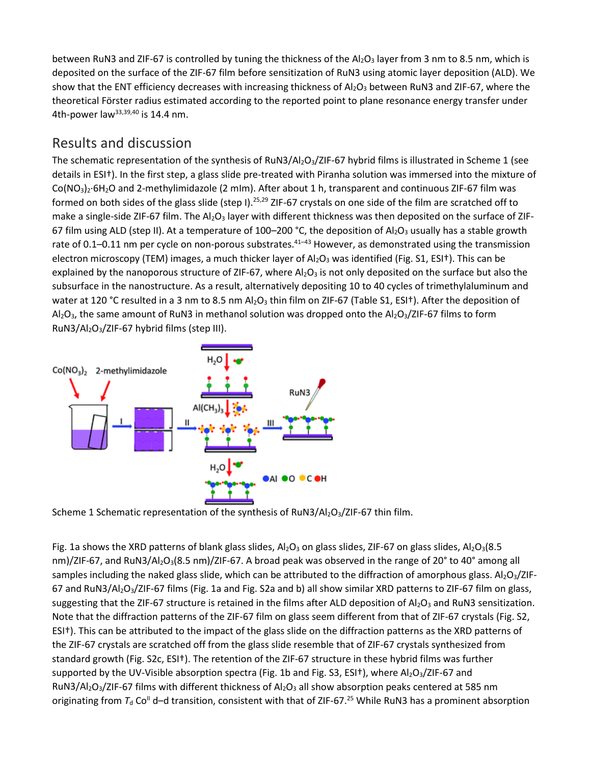between RuN3 and ZIF-67 is controlled by tuning the thickness of the Al<sub>2</sub>O<sub>3</sub> layer from 3 nm to 8.5 nm, which is deposited on the surface of the ZIF-67 film before sensitization of RuN3 using atomic layer deposition (ALD). We show that the ENT efficiency decreases with increasing thickness of  $Al_2O_3$  between RuN3 and ZIF-67, where the theoretical Förster radius estimated according to the reported point to plane resonance energy transfer under 4th-power law<sup>33,39,40</sup> is 14.4 nm.

#### Results and discussion

The schematic representation of the synthesis of RuN3/Al<sub>2</sub>O<sub>3</sub>/ZIF-67 hybrid films is illustrated in Scheme 1 (see details in ESI†). In the first step, a glass slide pre-treated with Piranha solution was immersed into the mixture of Co(NO<sub>3</sub>)<sub>2</sub>·6H<sub>2</sub>O and 2-methylimidazole (2 mIm). After about 1 h, transparent and continuous ZIF-67 film was formed on both sides of the glass slide (step I).<sup>25,29</sup> ZIF-67 crystals on one side of the film are scratched off to make a single-side ZIF-67 film. The Al<sub>2</sub>O<sub>3</sub> layer with different thickness was then deposited on the surface of ZIF-67 film using ALD (step II). At a temperature of 100–200 °C, the deposition of Al<sub>2</sub>O<sub>3</sub> usually has a stable growth rate of 0.1–0.11 nm per cycle on non-porous substrates.<sup>41–43</sup> However, as demonstrated using the transmission electron microscopy (TEM) images, a much thicker layer of Al<sub>2</sub>O<sub>3</sub> was identified (Fig. S1, ESI<sup>+</sup>). This can be explained by the nanoporous structure of ZIF-67, where  $Al_2O_3$  is not only deposited on the surface but also the subsurface in the nanostructure. As a result, alternatively depositing 10 to 40 cycles of trimethylaluminum and water at 120 °C resulted in a 3 nm to 8.5 nm Al<sub>2</sub>O<sub>3</sub> thin film on ZIF-67 (Table S1, ESI<sup>+</sup>). After the deposition of  $AI_2O_3$ , the same amount of RuN3 in methanol solution was dropped onto the  $AI_2O_3/ZIF-67$  films to form RuN3/Al2O3/ZIF-67 hybrid films (step III).



Scheme 1 Schematic representation of the synthesis of RuN3/Al2O3/ZIF-67 thin film.

Fig. 1a shows the XRD patterns of blank glass slides,  $Al_2O_3$  on glass slides, ZIF-67 on glass slides,  $Al_2O_3(8.5)$ nm)/ZIF-67, and RuN3/Al<sub>2</sub>O<sub>3</sub>(8.5 nm)/ZIF-67. A broad peak was observed in the range of 20 $^{\circ}$  to 40 $^{\circ}$  among all samples including the naked glass slide, which can be attributed to the diffraction of amorphous glass.  $Al_2O_3/ZIF$ 67 and RuN3/Al<sub>2</sub>O<sub>3</sub>/ZIF-67 films (Fig. 1a and Fig. S2a and b) all show similar XRD patterns to ZIF-67 film on glass, suggesting that the ZIF-67 structure is retained in the films after ALD deposition of  $Al_2O_3$  and RuN3 sensitization. Note that the diffraction patterns of the ZIF-67 film on glass seem different from that of ZIF-67 crystals (Fig. S2, ESI†). This can be attributed to the impact of the glass slide on the diffraction patterns as the XRD patterns of the ZIF-67 crystals are scratched off from the glass slide resemble that of ZIF-67 crystals synthesized from standard growth (Fig. S2c, ESI†). The retention of the ZIF-67 structure in these hybrid films was further supported by the UV-Visible absorption spectra (Fig. 1b and Fig. S3, ESI+), where Al<sub>2</sub>O<sub>3</sub>/ZIF-67 and RuN3/Al<sub>2</sub>O<sub>3</sub>/ZIF-67 films with different thickness of Al<sub>2</sub>O<sub>3</sub> all show absorption peaks centered at 585 nm originating from  $T_d$  Co<sup>II</sup> d–d transition, consistent with that of ZIF-67.<sup>25</sup> While RuN3 has a prominent absorption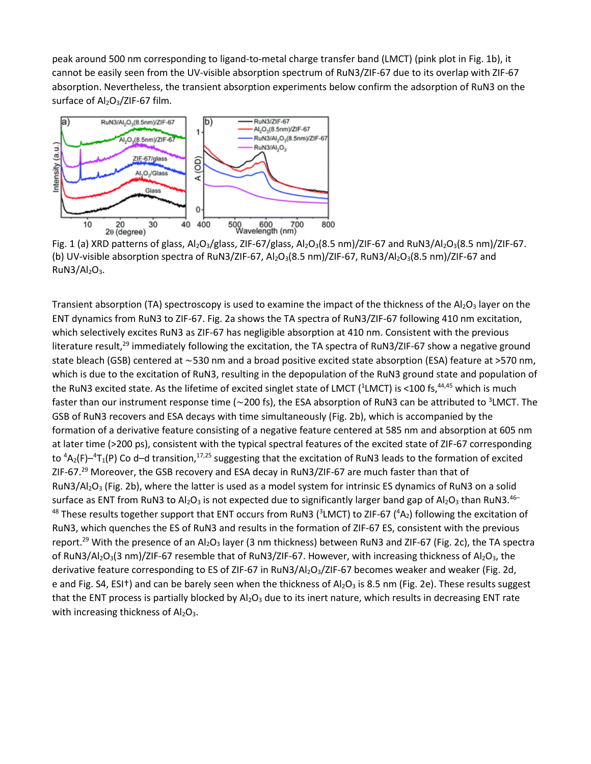peak around 500 nm corresponding to ligand-to-metal charge transfer band (LMCT) (pink plot in Fig. 1b), it cannot be easily seen from the UV-visible absorption spectrum of RuN3/ZIF-67 due to its overlap with ZIF-67 absorption. Nevertheless, the transient absorption experiments below confirm the adsorption of RuN3 on the surface of Al<sub>2</sub>O<sub>3</sub>/ZIF-67 film.



Fig. 1 (a) XRD patterns of glass, Al<sub>2</sub>O<sub>3</sub>/glass, ZIF-67/glass, Al<sub>2</sub>O<sub>3</sub>(8.5 nm)/ZIF-67 and RuN3/Al<sub>2</sub>O<sub>3</sub>(8.5 nm)/ZIF-67. (b) UV-visible absorption spectra of RuN3/ZIF-67, Al<sub>2</sub>O<sub>3</sub>(8.5 nm)/ZIF-67, RuN3/Al<sub>2</sub>O<sub>3</sub>(8.5 nm)/ZIF-67 and  $RuN3/Al<sub>2</sub>O<sub>3</sub>$ .

Transient absorption (TA) spectroscopy is used to examine the impact of the thickness of the  $Al_2O_3$  layer on the ENT dynamics from RuN3 to ZIF-67. Fig. 2a shows the TA spectra of RuN3/ZIF-67 following 410 nm excitation, which selectively excites RuN3 as ZIF-67 has negligible absorption at 410 nm. Consistent with the previous literature result,<sup>29</sup> immediately following the excitation, the TA spectra of RuN3/ZIF-67 show a negative ground state bleach (GSB) centered at ∼530 nm and a broad positive excited state absorption (ESA) feature at >570 nm, which is due to the excitation of RuN3, resulting in the depopulation of the RuN3 ground state and population of the RuN3 excited state. As the lifetime of excited singlet state of LMCT (<sup>1</sup>LMCT) is <100 fs,<sup>44,45</sup> which is much faster than our instrument response time (~200 fs), the ESA absorption of RuN3 can be attributed to <sup>3</sup>LMCT. The GSB of RuN3 recovers and ESA decays with time simultaneously (Fig. 2b), which is accompanied by the formation of a derivative feature consisting of a negative feature centered at 585 nm and absorption at 605 nm at later time (>200 ps), consistent with the typical spectral features of the excited state of ZIF-67 corresponding to  ${}^4A_2$ (F)– ${}^4T_1$ (P) Co d–d transition,<sup>17,25</sup> suggesting that the excitation of RuN3 leads to the formation of excited ZIF-67.<sup>29</sup> Moreover, the GSB recovery and ESA decay in RuN3/ZIF-67 are much faster than that of RuN3/Al2O3 (Fig. 2b), where the latter is used as a model system for intrinsic ES dynamics of RuN3 on a solid surface as ENT from RuN3 to Al<sub>2</sub>O<sub>3</sub> is not expected due to significantly larger band gap of Al<sub>2</sub>O<sub>3</sub> than RuN3.<sup>46–</sup> <sup>48</sup> These results together support that ENT occurs from RuN3 (<sup>3</sup>LMCT) to ZIF-67 (<sup>4</sup>A<sub>2</sub>) following the excitation of RuN3, which quenches the ES of RuN3 and results in the formation of ZIF-67 ES, consistent with the previous report.<sup>29</sup> With the presence of an Al<sub>2</sub>O<sub>3</sub> layer (3 nm thickness) between RuN3 and ZIF-67 (Fig. 2c), the TA spectra of RuN3/Al<sub>2</sub>O<sub>3</sub>(3 nm)/ZIF-67 resemble that of RuN3/ZIF-67. However, with increasing thickness of Al<sub>2</sub>O<sub>3</sub>, the derivative feature corresponding to ES of ZIF-67 in RuN3/Al<sub>2</sub>O<sub>3</sub>/ZIF-67 becomes weaker and weaker (Fig. 2d, e and Fig. S4, ESI†) and can be barely seen when the thickness of Al<sub>2</sub>O<sub>3</sub> is 8.5 nm (Fig. 2e). These results suggest that the ENT process is partially blocked by  $Al_2O_3$  due to its inert nature, which results in decreasing ENT rate with increasing thickness of  $Al_2O_3$ .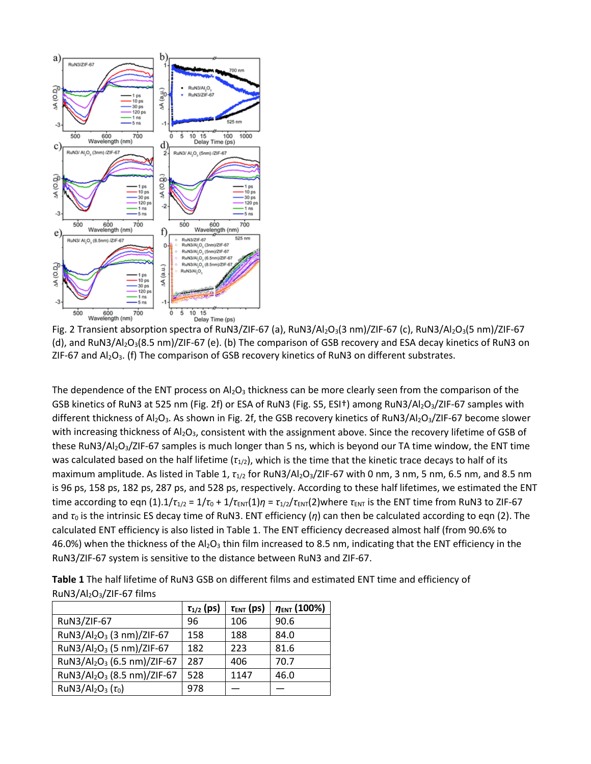

Fig. 2 Transient absorption spectra of RuN3/ZIF-67 (a), RuN3/Al2O<sub>3</sub>(3 nm)/ZIF-67 (c), RuN3/Al<sub>2</sub>O<sub>3</sub>(5 nm)/ZIF-67 (d), and RuN3/Al<sub>2</sub>O<sub>3</sub>(8.5 nm)/ZIF-67 (e). (b) The comparison of GSB recovery and ESA decay kinetics of RuN3 on ZIF-67 and  $Al_2O_3$ . (f) The comparison of GSB recovery kinetics of RuN3 on different substrates.

The dependence of the ENT process on  $Al_2O_3$  thickness can be more clearly seen from the comparison of the GSB kinetics of RuN3 at 525 nm (Fig. 2f) or ESA of RuN3 (Fig. S5, ESI†) among RuN3/Al2O3/ZIF-67 samples with different thickness of Al<sub>2</sub>O<sub>3</sub>. As shown in Fig. 2f, the GSB recovery kinetics of RuN3/Al<sub>2</sub>O<sub>3</sub>/ZIF-67 become slower with increasing thickness of  $Al_2O_3$ , consistent with the assignment above. Since the recovery lifetime of GSB of these RuN3/Al2O3/ZIF-67 samples is much longer than 5 ns, which is beyond our TA time window, the ENT time was calculated based on the half lifetime (*τ*<sub>1/2</sub>), which is the time that the kinetic trace decays to half of its maximum amplitude. As listed in Table 1, *τ*<sub>1/2</sub> for RuN3/Al<sub>2</sub>O<sub>3</sub>/ZIF-67 with 0 nm, 3 nm, 5 nm, 6.5 nm, and 8.5 nm is 96 ps, 158 ps, 182 ps, 287 ps, and 528 ps, respectively. According to these half lifetimes, we estimated the ENT time according to eqn (1).1/ $\tau_{1/2}$  = 1/ $\tau_0$  + 1/ $\tau_{ENT}(1)$  $\eta$  =  $\tau_{1/2}/\tau_{ENT}(2)$ where  $\tau_{ENT}$  is the ENT time from RuN3 to ZIF-67 and *τ*<sup>0</sup> is the intrinsic ES decay time of RuN3. ENT efficiency (*η*) can then be calculated according to eqn (2). The calculated ENT efficiency is also listed in Table 1. The ENT efficiency decreased almost half (from 90.6% to 46.0%) when the thickness of the Al<sub>2</sub>O<sub>3</sub> thin film increased to 8.5 nm, indicating that the ENT efficiency in the RuN3/ZIF-67 system is sensitive to the distance between RuN3 and ZIF-67.

**Table 1** The half lifetime of RuN3 GSB on different films and estimated ENT time and efficiency of RuN3/Al2O3/ZIF-67 films

|                                                   | $\tau_{1/2}$ (ps) | $\tau_{ENT}$ (ps) | $\eta_{ENT}$ (100%) |
|---------------------------------------------------|-------------------|-------------------|---------------------|
| RuN3/ZIF-67                                       | 96                | 106               | 90.6                |
| RuN3/Al <sub>2</sub> O <sub>3</sub> (3 nm)/ZIF-67 | 158               | 188               | 84.0                |
| RuN3/Al2O3 (5 nm)/ZIF-67                          | 182               | 223               | 81.6                |
| RuN3/Al2O3 (6.5 nm)/ZIF-67                        | 287               | 406               | 70.7                |
| RuN3/Al2O <sub>3</sub> (8.5 nm)/ZIF-67            | 528               | 1147              | 46.0                |
| $RuN3/Al_2O_3(\tau_0)$                            | 978               |                   |                     |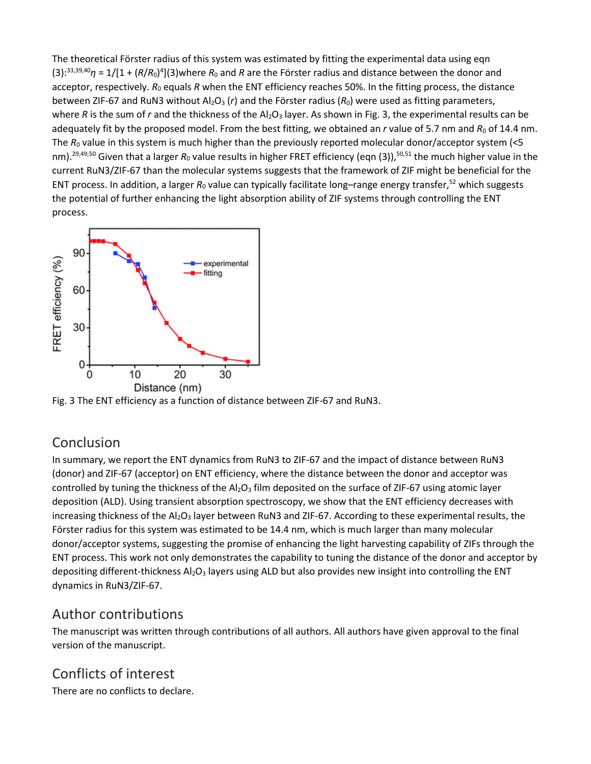The theoretical Förster radius of this system was estimated by fitting the experimental data using eqn  $(3)$ :<sup>33,39,40</sup> $\eta$  = 1/[1 + ( $R/R_0$ <sup>4</sup>](3)where  $R_0$  and  $R$  are the Förster radius and distance between the donor and acceptor, respectively.  $R_0$  equals R when the ENT efficiency reaches 50%. In the fitting process, the distance between ZIF-67 and RuN3 without Al<sub>2</sub>O<sub>3</sub> (*r*) and the Förster radius (*R*<sub>0</sub>) were used as fitting parameters, where *R* is the sum of *r* and the thickness of the Al<sub>2</sub>O<sub>3</sub> layer. As shown in Fig. 3, the experimental results can be adequately fit by the proposed model. From the best fitting, we obtained an *r* value of 5.7 nm and  $R_0$  of 14.4 nm. The  $R_0$  value in this system is much higher than the previously reported molecular donor/acceptor system (<5 nm).<sup>29,49,50</sup> Given that a larger R<sub>0</sub> value results in higher FRET efficiency (eqn (3)),<sup>50,51</sup> the much higher value in the current RuN3/ZIF-67 than the molecular systems suggests that the framework of ZIF might be beneficial for the ENT process. In addition, a larger R<sub>0</sub> value can typically facilitate long–range energy transfer,<sup>52</sup> which suggests the potential of further enhancing the light absorption ability of ZIF systems through controlling the ENT process.



Fig. 3 The ENT efficiency as a function of distance between ZIF-67 and RuN3.

#### Conclusion

In summary, we report the ENT dynamics from RuN3 to ZIF-67 and the impact of distance between RuN3 (donor) and ZIF-67 (acceptor) on ENT efficiency, where the distance between the donor and acceptor was controlled by tuning the thickness of the  $Al_2O_3$  film deposited on the surface of ZIF-67 using atomic layer deposition (ALD). Using transient absorption spectroscopy, we show that the ENT efficiency decreases with increasing thickness of the Al<sub>2</sub>O<sub>3</sub> layer between RuN3 and ZIF-67. According to these experimental results, the Förster radius for this system was estimated to be 14.4 nm, which is much larger than many molecular donor/acceptor systems, suggesting the promise of enhancing the light harvesting capability of ZIFs through the ENT process. This work not only demonstrates the capability to tuning the distance of the donor and acceptor by depositing different-thickness  $Al_2O_3$  layers using ALD but also provides new insight into controlling the ENT dynamics in RuN3/ZIF-67.

#### Author contributions

The manuscript was written through contributions of all authors. All authors have given approval to the final version of the manuscript.

## Conflicts of interest

There are no conflicts to declare.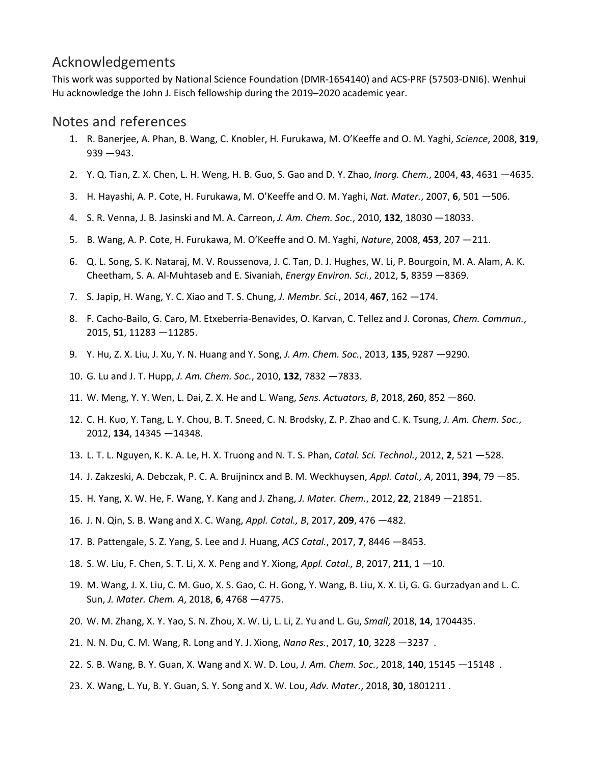#### Acknowledgements

This work was supported by National Science Foundation (DMR-1654140) and ACS-PRF (57503-DNI6). Wenhui Hu acknowledge the John J. Eisch fellowship during the 2019–2020 academic year.

#### Notes and references

- 1. R. Banerjee, A. Phan, B. Wang, C. Knobler, H. Furukawa, M. O'Keeffe and O. M. Yaghi, *Science*, 2008, **319**, 939 —943.
- 2. Y. Q. Tian, Z. X. Chen, L. H. Weng, H. B. Guo, S. Gao and D. Y. Zhao, *Inorg. Chem.*, 2004, **43**, 4631 —4635.
- 3. H. Hayashi, A. P. Cote, H. Furukawa, M. O'Keeffe and O. M. Yaghi, *Nat. Mater.*, 2007, **6**, 501 —506.
- 4. S. R. Venna, J. B. Jasinski and M. A. Carreon, *J. Am. Chem. Soc.*, 2010, **132**, 18030 —18033.
- 5. B. Wang, A. P. Cote, H. Furukawa, M. O'Keeffe and O. M. Yaghi, *Nature*, 2008, **453**, 207 —211.
- 6. Q. L. Song, S. K. Nataraj, M. V. Roussenova, J. C. Tan, D. J. Hughes, W. Li, P. Bourgoin, M. A. Alam, A. K. Cheetham, S. A. Al-Muhtaseb and E. Sivaniah, *Energy Environ. Sci.*, 2012, **5**, 8359 —8369.
- 7. S. Japip, H. Wang, Y. C. Xiao and T. S. Chung, *J. Membr. Sci.*, 2014, **467**, 162 —174.
- 8. F. Cacho-Bailo, G. Caro, M. Etxeberria-Benavides, O. Karvan, C. Tellez and J. Coronas, *Chem. Commun.*, 2015, **51**, 11283 —11285.
- 9. Y. Hu, Z. X. Liu, J. Xu, Y. N. Huang and Y. Song, *J. Am. Chem. Soc.*, 2013, **135**, 9287 —9290.
- 10. G. Lu and J. T. Hupp, *J. Am. Chem. Soc.*, 2010, **132**, 7832 —7833.
- 11. W. Meng, Y. Y. Wen, L. Dai, Z. X. He and L. Wang, *Sens. Actuators, B*, 2018, **260**, 852 —860.
- 12. C. H. Kuo, Y. Tang, L. Y. Chou, B. T. Sneed, C. N. Brodsky, Z. P. Zhao and C. K. Tsung, *J. Am. Chem. Soc.*, 2012, **134**, 14345 —14348.
- 13. L. T. L. Nguyen, K. K. A. Le, H. X. Truong and N. T. S. Phan, *Catal. Sci. Technol.*, 2012, **2**, 521 —528.
- 14. J. Zakzeski, A. Debczak, P. C. A. Bruijnincx and B. M. Weckhuysen, *Appl. Catal., A*, 2011, **394**, 79 —85.
- 15. H. Yang, X. W. He, F. Wang, Y. Kang and J. Zhang, *J. Mater. Chem.*, 2012, **22**, 21849 —21851.
- 16. J. N. Qin, S. B. Wang and X. C. Wang, *Appl. Catal., B*, 2017, **209**, 476 —482.
- 17. B. Pattengale, S. Z. Yang, S. Lee and J. Huang, *ACS Catal.*, 2017, **7**, 8446 —8453.
- 18. S. W. Liu, F. Chen, S. T. Li, X. X. Peng and Y. Xiong, *Appl. Catal., B*, 2017, **211**, 1 —10.
- 19. M. Wang, J. X. Liu, C. M. Guo, X. S. Gao, C. H. Gong, Y. Wang, B. Liu, X. X. Li, G. G. Gurzadyan and L. C. Sun, *J. Mater. Chem. A*, 2018, **6**, 4768 —4775.
- 20. W. M. Zhang, X. Y. Yao, S. N. Zhou, X. W. Li, L. Li, Z. Yu and L. Gu, *Small*, 2018, **14**, 1704435.
- 21. N. N. Du, C. M. Wang, R. Long and Y. J. Xiong, *Nano Res.*, 2017, **10**, 3228 —3237 .
- 22. S. B. Wang, B. Y. Guan, X. Wang and X. W. D. Lou, *J. Am. Chem. Soc.*, 2018, **140**, 15145 —15148 .
- 23. X. Wang, L. Yu, B. Y. Guan, S. Y. Song and X. W. Lou, *Adv. Mater.*, 2018, **30**, 1801211 .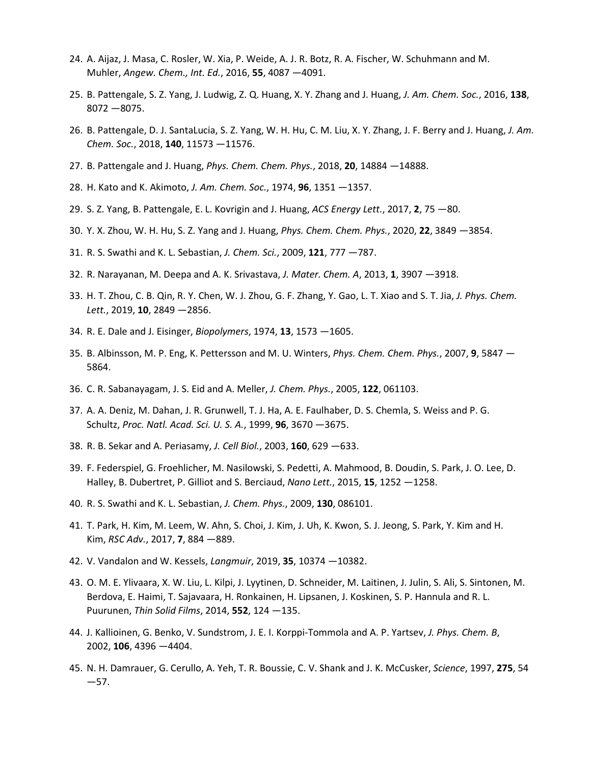- 24. A. Aijaz, J. Masa, C. Rosler, W. Xia, P. Weide, A. J. R. Botz, R. A. Fischer, W. Schuhmann and M. Muhler, *Angew. Chem., Int. Ed.*, 2016, **55**, 4087 —4091.
- 25. B. Pattengale, S. Z. Yang, J. Ludwig, Z. Q. Huang, X. Y. Zhang and J. Huang, *J. Am. Chem. Soc.*, 2016, **138**, 8072 —8075.
- 26. B. Pattengale, D. J. SantaLucia, S. Z. Yang, W. H. Hu, C. M. Liu, X. Y. Zhang, J. F. Berry and J. Huang, *J. Am. Chem. Soc.*, 2018, **140**, 11573 —11576.
- 27. B. Pattengale and J. Huang, *Phys. Chem. Chem. Phys.*, 2018, **20**, 14884 —14888.
- 28. H. Kato and K. Akimoto, *J. Am. Chem. Soc.*, 1974, **96**, 1351 —1357.
- 29. S. Z. Yang, B. Pattengale, E. L. Kovrigin and J. Huang, *ACS Energy Lett.*, 2017, **2**, 75 —80.
- 30. Y. X. Zhou, W. H. Hu, S. Z. Yang and J. Huang, *Phys. Chem. Chem. Phys.*, 2020, **22**, 3849 —3854.
- 31. R. S. Swathi and K. L. Sebastian, *J. Chem. Sci.*, 2009, **121**, 777 —787.
- 32. R. Narayanan, M. Deepa and A. K. Srivastava, *J. Mater. Chem. A*, 2013, **1**, 3907 —3918.
- 33. H. T. Zhou, C. B. Qin, R. Y. Chen, W. J. Zhou, G. F. Zhang, Y. Gao, L. T. Xiao and S. T. Jia, *J. Phys. Chem. Lett.*, 2019, **10**, 2849 —2856.
- 34. R. E. Dale and J. Eisinger, *Biopolymers*, 1974, **13**, 1573 —1605.
- 35. B. Albinsson, M. P. Eng, K. Pettersson and M. U. Winters, *Phys. Chem. Chem. Phys.*, 2007, **9**, 5847 5864.
- 36. C. R. Sabanayagam, J. S. Eid and A. Meller, *J. Chem. Phys.*, 2005, **122**, 061103.
- 37. A. A. Deniz, M. Dahan, J. R. Grunwell, T. J. Ha, A. E. Faulhaber, D. S. Chemla, S. Weiss and P. G. Schultz, *Proc. Natl. Acad. Sci. U. S. A.*, 1999, **96**, 3670 —3675.
- 38. R. B. Sekar and A. Periasamy, *J. Cell Biol.*, 2003, **160**, 629 —633.
- 39. F. Federspiel, G. Froehlicher, M. Nasilowski, S. Pedetti, A. Mahmood, B. Doudin, S. Park, J. O. Lee, D. Halley, B. Dubertret, P. Gilliot and S. Berciaud, *Nano Lett.*, 2015, **15**, 1252 —1258.
- 40. R. S. Swathi and K. L. Sebastian, *J. Chem. Phys.*, 2009, **130**, 086101.
- 41. T. Park, H. Kim, M. Leem, W. Ahn, S. Choi, J. Kim, J. Uh, K. Kwon, S. J. Jeong, S. Park, Y. Kim and H. Kim, *RSC Adv.*, 2017, **7**, 884 —889.
- 42. V. Vandalon and W. Kessels, *Langmuir*, 2019, **35**, 10374 —10382.
- 43. O. M. E. Ylivaara, X. W. Liu, L. Kilpi, J. Lyytinen, D. Schneider, M. Laitinen, J. Julin, S. Ali, S. Sintonen, M. Berdova, E. Haimi, T. Sajavaara, H. Ronkainen, H. Lipsanen, J. Koskinen, S. P. Hannula and R. L. Puurunen, *Thin Solid Films*, 2014, **552**, 124 —135.
- 44. J. Kallioinen, G. Benko, V. Sundstrom, J. E. I. Korppi-Tommola and A. P. Yartsev, *J. Phys. Chem. B*, 2002, **106**, 4396 —4404.
- 45. N. H. Damrauer, G. Cerullo, A. Yeh, T. R. Boussie, C. V. Shank and J. K. McCusker, *Science*, 1997, **275**, 54 —57.